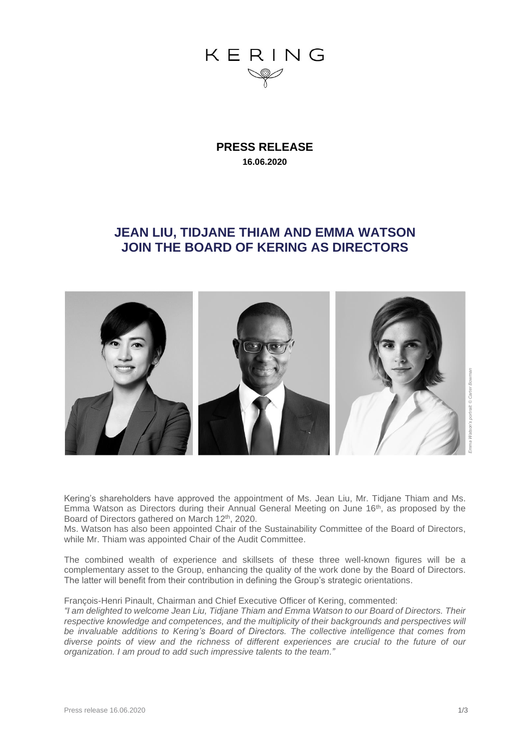

**PRESS RELEASE 16.06.2020**

## **JEAN LIU, TIDJANE THIAM AND EMMA WATSON JOIN THE BOARD OF KERING AS DIRECTORS**



Kering's shareholders have approved the appointment of Ms. Jean Liu, Mr. Tidjane Thiam and Ms. Emma Watson as Directors during their Annual General Meeting on June 16th, as proposed by the Board of Directors gathered on March 12<sup>th</sup>, 2020.

Ms. Watson has also been appointed Chair of the Sustainability Committee of the Board of Directors, while Mr. Thiam was appointed Chair of the Audit Committee.

The combined wealth of experience and skillsets of these three well-known figures will be a complementary asset to the Group, enhancing the quality of the work done by the Board of Directors. The latter will benefit from their contribution in defining the Group's strategic orientations.

François-Henri Pinault, Chairman and Chief Executive Officer of Kering, commented:

*"I am delighted to welcome Jean Liu, Tidjane Thiam and Emma Watson to our Board of Directors. Their respective knowledge and competences, and the multiplicity of their backgrounds and perspectives will be invaluable additions to Kering's Board of Directors. The collective intelligence that comes from diverse points of view and the richness of different experiences are crucial to the future of our organization. I am proud to add such impressive talents to the team."*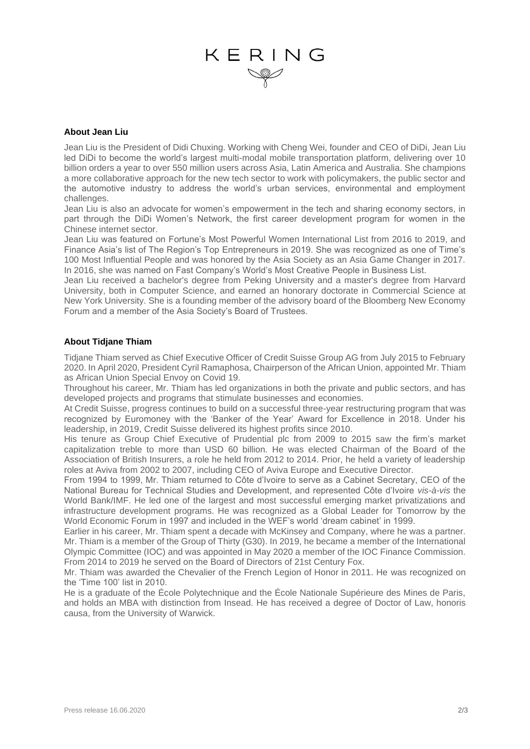# KERING

#### **About Jean Liu**

Jean Liu is the President of Didi Chuxing. Working with Cheng Wei, founder and CEO of DiDi, Jean Liu led DiDi to become the world's largest multi-modal mobile transportation platform, delivering over 10 billion orders a year to over 550 million users across Asia, Latin America and Australia. She champions a more collaborative approach for the new tech sector to work with policymakers, the public sector and the automotive industry to address the world's urban services, environmental and employment challenges.

Jean Liu is also an advocate for women's empowerment in the tech and sharing economy sectors, in part through the DiDi Women's Network, the first career development program for women in the Chinese internet sector.

Jean Liu was featured on Fortune's Most Powerful Women International List from 2016 to 2019, and Finance Asia's list of The Region's Top Entrepreneurs in 2019. She was recognized as one of Time's 100 Most Influential People and was honored by the Asia Society as an Asia Game Changer in 2017. In 2016, she was named on Fast Company's World's Most Creative People in Business List.

Jean Liu received a bachelor's degree from Peking University and a master's degree from Harvard University, both in Computer Science, and earned an honorary doctorate in Commercial Science at New York University. She is a founding member of the advisory board of the Bloomberg New Economy Forum and a member of the Asia Society's Board of Trustees.

#### **About Tidjane Thiam**

Tidjane Thiam served as Chief Executive Officer of Credit Suisse Group AG from July 2015 to February 2020. In April 2020, President Cyril Ramaphosa, Chairperson of the African Union, appointed Mr. Thiam as African Union Special Envoy on Covid 19.

Throughout his career, Mr. Thiam has led organizations in both the private and public sectors, and has developed projects and programs that stimulate businesses and economies.

At Credit Suisse, progress continues to build on a successful three-year restructuring program that was recognized by Euromoney with the 'Banker of the Year' Award for Excellence in 2018. Under his leadership, in 2019, Credit Suisse delivered its highest profits since 2010.

His tenure as Group Chief Executive of Prudential plc from 2009 to 2015 saw the firm's market capitalization treble to more than USD 60 billion. He was elected Chairman of the Board of the Association of British Insurers, a role he held from 2012 to 2014. Prior, he held a variety of leadership roles at Aviva from 2002 to 2007, including CEO of Aviva Europe and Executive Director.

From 1994 to 1999, Mr. Thiam returned to Côte d'Ivoire to serve as a Cabinet Secretary, CEO of the National Bureau for Technical Studies and Development, and represented Côte d'Ivoire *vis-à-vis* the World Bank/IMF. He led one of the largest and most successful emerging market privatizations and infrastructure development programs. He was recognized as a Global Leader for Tomorrow by the World Economic Forum in 1997 and included in the WEF's world 'dream cabinet' in 1999.

Earlier in his career, Mr. Thiam spent a decade with McKinsey and Company, where he was a partner. Mr. Thiam is a member of the Group of Thirty (G30). In 2019, he became a member of the International Olympic Committee (IOC) and was appointed in May 2020 a member of the IOC Finance Commission. From 2014 to 2019 he served on the Board of Directors of 21st Century Fox.

Mr. Thiam was awarded the Chevalier of the French Legion of Honor in 2011. He was recognized on the 'Time 100' list in 2010.

He is a graduate of the École Polytechnique and the École Nationale Supérieure des Mines de Paris, and holds an MBA with distinction from Insead. He has received a degree of Doctor of Law, honoris causa, from the University of Warwick.